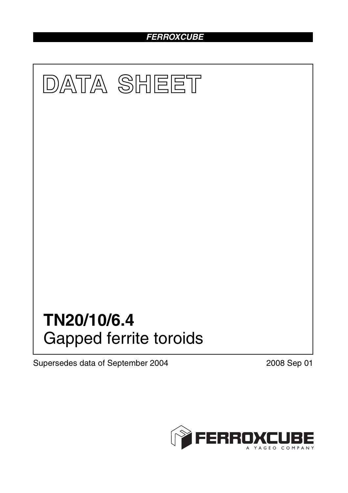# *FERROXCUBE*



Supersedes data of September 2004 2008 Sep 01

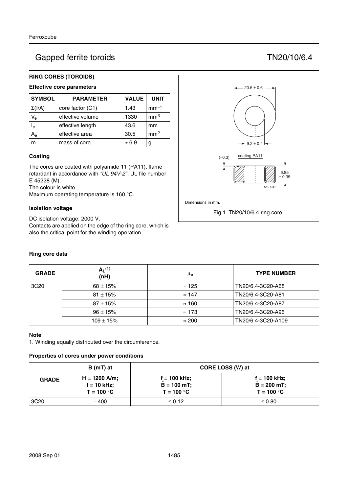# Gapped ferrite toroids TN20/10/6.4

## **RING CORES (TOROIDS)**

# **Effective core parameters**

| <b>SYMBOL</b>  | <b>PARAMETER</b> | <b>VALUE</b>  | <b>UNIT</b>     |
|----------------|------------------|---------------|-----------------|
| $\Sigma(I/A)$  | core factor (C1) | 1.43          | $mm-1$          |
| $V_{e}$        | effective volume | 1330          | mm <sup>3</sup> |
| l <sub>e</sub> | effective length | 43.6          | mm              |
|                | effective area   | 30.5          | mm <sup>2</sup> |
| m              | mass of core     | $\approx 6.9$ | g               |

### **Coating**

The cores are coated with polyamide 11 (PA11), flame retardant in accordance with *"UL 94V-2"*; UL file number E 45228 (M).

The colour is white.

Maximum operating temperature is 160 °C.

### **Isolation voltage**

DC isolation voltage: 2000 V.

Contacts are applied on the edge of the ring core, which is also the critical point for the winding operation.

## **Ring core data**

| <b>GRADE</b>     | $A_L^{(1)}$<br>(nH) | μ <sub>e</sub> | <b>TYPE NUMBER</b> |
|------------------|---------------------|----------------|--------------------|
| 3C <sub>20</sub> | $68 \pm 15\%$       | $\approx$ 125  | TN20/6.4-3C20-A68  |
|                  | $81 \pm 15\%$       | $\approx$ 147  | TN20/6.4-3C20-A81  |
|                  | $87 \pm 15%$        | $\approx$ 160  | TN20/6.4-3C20-A87  |
|                  | $96 \pm 15\%$       | $\approx$ 173  | TN20/6.4-3C20-A96  |
|                  | $109 \pm 15%$       | $\approx 200$  | TN20/6.4-3C20-A109 |

#### **Note**

1. Winding equally distributed over the circumference.

#### **Properties of cores under power conditions**

|                  | B (mT) at                                        | CORE LOSS (W) at                                |                                                 |  |
|------------------|--------------------------------------------------|-------------------------------------------------|-------------------------------------------------|--|
| <b>GRADE</b>     | $H = 1200$ A/m;<br>$f = 10$ kHz;<br>$T = 100 °C$ | $f = 100$ kHz;<br>$B = 100$ mT;<br>$T = 100 °C$ | $f = 100$ kHz;<br>$B = 200$ mT;<br>$T = 100 °C$ |  |
| 3C <sub>20</sub> | ~100                                             | $\leq 0.12$                                     | $\leq 0.80$                                     |  |